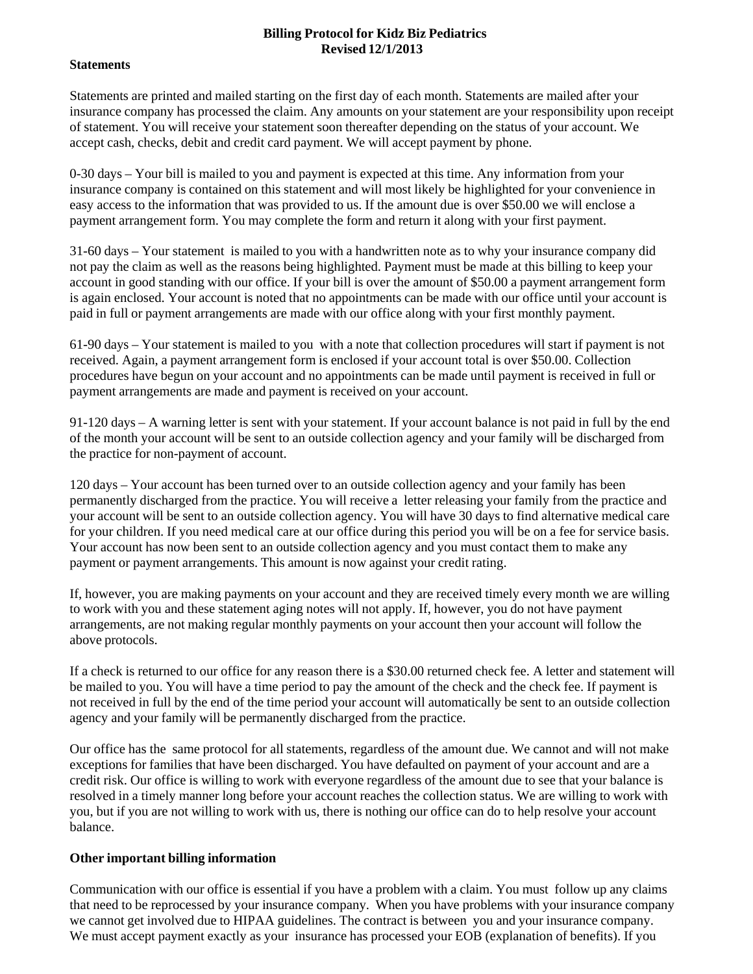## **Billing Protocol for Kidz Biz Pediatrics Revised 12/1/2013**

## **Statements**

Statements are printed and mailed starting on the first day of each month. Statements are mailed after your insurance company has processed the claim. Any amounts on your statement are your responsibility upon receipt of statement. You will receive your statement soon thereafter depending on the status of your account. We accept cash, checks, debit and credit card payment. We will accept payment by phone.

0-30 days – Your bill is mailed to you and payment is expected at this time. Any information from your insurance company is contained on this statement and will most likely be highlighted for your convenience in easy access to the information that was provided to us. If the amount due is over \$50.00 we will enclose a payment arrangement form. You may complete the form and return it along with your first payment.

31-60 days – Your statement is mailed to you with a handwritten note as to why your insurance company did not pay the claim as well as the reasons being highlighted. Payment must be made at this billing to keep your account in good standing with our office. If your bill is over the amount of \$50.00 a payment arrangement form is again enclosed. Your account is noted that no appointments can be made with our office until your account is paid in full or payment arrangements are made with our office along with your first monthly payment.

61-90 days – Your statement is mailed to you with a note that collection procedures will start if payment is not received. Again, a payment arrangement form is enclosed if your account total is over \$50.00. Collection procedures have begun on your account and no appointments can be made until payment is received in full or payment arrangements are made and payment is received on your account.

91-120 days – A warning letter is sent with your statement. If your account balance is not paid in full by the end of the month your account will be sent to an outside collection agency and your family will be discharged from the practice for non-payment of account.

120 days – Your account has been turned over to an outside collection agency and your family has been permanently discharged from the practice. You will receive a letter releasing your family from the practice and your account will be sent to an outside collection agency. You will have 30 days to find alternative medical care for your children. If you need medical care at our office during this period you will be on a fee for service basis. Your account has now been sent to an outside collection agency and you must contact them to make any payment or payment arrangements. This amount is now against your credit rating.

If, however, you are making payments on your account and they are received timely every month we are willing to work with you and these statement aging notes will not apply. If, however, you do not have payment arrangements, are not making regular monthly payments on your account then your account will follow the above protocols.

If a check is returned to our office for any reason there is a \$30.00 returned check fee. A letter and statement will be mailed to you. You will have a time period to pay the amount of the check and the check fee. If payment is not received in full by the end of the time period your account will automatically be sent to an outside collection agency and your family will be permanently discharged from the practice.

Our office has the same protocol for all statements, regardless of the amount due. We cannot and will not make exceptions for families that have been discharged. You have defaulted on payment of your account and are a credit risk. Our office is willing to work with everyone regardless of the amount due to see that your balance is resolved in a timely manner long before your account reaches the collection status. We are willing to work with you, but if you are not willing to work with us, there is nothing our office can do to help resolve your account balance.

## **Other important billing information**

Communication with our office is essential if you have a problem with a claim. You must follow up any claims that need to be reprocessed by your insurance company. When you have problems with your insurance company we cannot get involved due to HIPAA guidelines. The contract is between you and your insurance company. We must accept payment exactly as your insurance has processed your EOB (explanation of benefits). If you